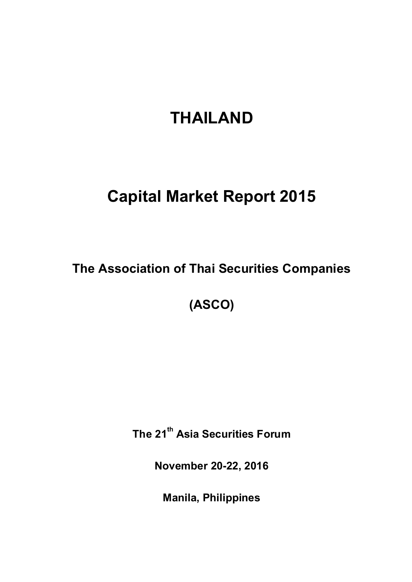# **THAILAND**

## **Capital Market Report 2015**

**The Association of Thai Securities Companies**

**(ASCO)**

**The 21th Asia Securities Forum**

**November 20-22, 2016**

**Manila, Philippines**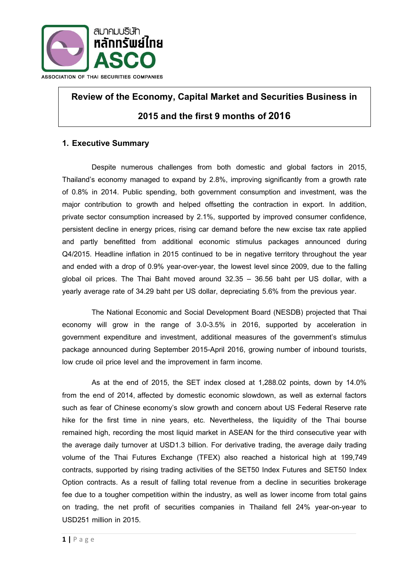

## **Review of the Economy, Capital Market and Securities Business in 2015 and the first 9 months of2016**

## **1. Executive Summary**

Despite numerous challenges from both domestic and global factors in 2015, Thailand's economy managed to expand by 2.8%, improving significantly from a growth rate of 0.8% in 2014. Public spending, both government consumption and investment, was the major contribution to growth and helped offsetting the contraction in export. In addition, private sector consumption increased by 2.1%, supported by improved consumer confidence, persistent decline in energy prices, rising car demand before the new excise tax rate applied and partly benefitted from additional economic stimulus packages announced during Q4/2015. Headline inflation in 2015 continued to be in negative territory throughout the year and ended with a drop of 0.9% year-over-year, the lowest level since 2009, due to the falling global oil prices. The Thai Baht moved around 32.35 – 36.56 baht per US dollar, with a yearly average rate of 34.29 baht per US dollar, depreciating 5.6% from the previous year.

The National Economic and Social Development Board (NESDB) projected that Thai economy will grow in the range of 3.0-3.5% in 2016, supported by acceleration in government expenditure and investment, additional measures of the government's stimulus package announced during September 2015-April 2016, growing number of inbound tourists, low crude oil price level and the improvement in farm income.

As at the end of 2015, the SET index closed at 1,288.02 points, down by 14.0% from the end of 2014, affected by domestic economic slowdown, as well as external factors such as fear of Chinese economy's slow growth and concern about US Federal Reserve rate hike for the first time in nine years, etc. Nevertheless, the liquidity of the Thai bourse remained high, recording the most liquid market in ASEAN for the third consecutive year with the average daily turnover at USD1.3 billion. For derivative trading, the average daily trading volume of the Thai Futures Exchange (TFEX) also reached a historical high at 199,749 contracts, supported by rising trading activities of the SET50 Index Futures and SET50 Index Option contracts. As a result of falling total revenue from a decline in securities brokerage fee due to a tougher competition within the industry, as well as lower income from total gains on trading, the net profit of securities companies in Thailand fell 24% year-on-year to USD251 million in 2015.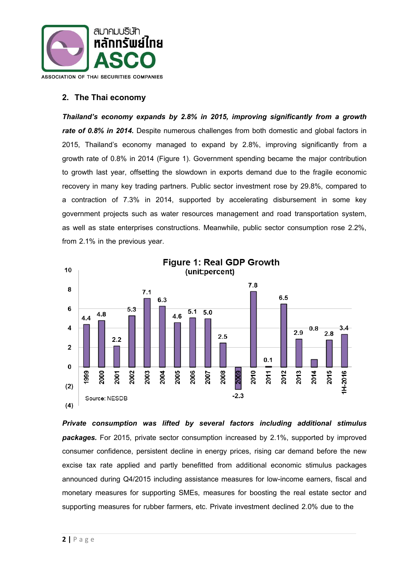

## **2. The Thai economy**

*Thailand's economy expands by 2.8% in 2015, improving significantly from a growth rate of 0.8% in 2014.* Despite numerous challenges from both domestic and global factors in 2015, Thailand's economy managed to expand by 2.8%, improving significantly from a growth rate of 0.8% in 2014 (Figure 1). Government spending became the major contribution to growth last year, offsetting the slowdown in exports demand due to the fragile economic recovery in many key trading partners. Public sector investment rose by 29.8%, compared to a contraction of 7.3% in 2014, supported by accelerating disbursement in some key government projects such as water resources management and road transportation system, as well as state enterprises constructions. Meanwhile, public sector consumption rose 2.2%, from 2.1% in the previous year.



*Private consumption was lifted by several factors including additional stimulus packages.* For 2015, private sector consumption increased by 2.1%, supported by improved consumer confidence, persistent decline in energy prices, rising car demand before the new excise tax rate applied and partly benefitted from additional economic stimulus packages announced during Q4/2015 including assistance measures for low-income earners, fiscal and monetary measures for supporting SMEs, measures for boosting the real estate sector and supporting measures for rubber farmers, etc. Private investment declined 2.0% due to the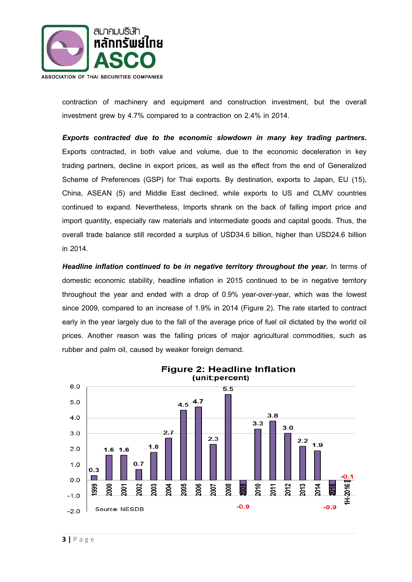

contraction of machinery and equipment and construction investment, but the overall investment grew by 4.7% compared to a contraction on 2.4% in 2014.

*Exports contracted due to the economic slowdown in many key trading partners.*  Exports contracted, in both value and volume, due to the economic deceleration in key trading partners, decline in export prices, as well as the effect from the end of Generalized Scheme of Preferences (GSP) for Thai exports. By destination, exports to Japan, EU (15), China, ASEAN (5) and Middle East declined, while exports to US and CLMV countries continued to expand. Nevertheless, Imports shrank on the back of falling import price and import quantity, especially raw materials and intermediate goods and capital goods. Thus, the overall trade balance still recorded a surplus of USD34.6 billion, higher than USD24.6 billion in 2014.

**Headline inflation continued to be in negative territory throughout the year.** In terms of domestic economic stability, headline inflation in 2015 continued to be in negative territory throughout the year and ended with a drop of 0.9% year-over-year, which was the lowest since 2009, compared to an increase of 1.9% in 2014 (Figure 2). The rate started to contract early in the year largely due to the fall of the average price of fuel oil dictated by the world oil prices. Another reason was the falling prices of major agricultural commodities, such as rubber and palm oil, caused by weaker foreign demand.

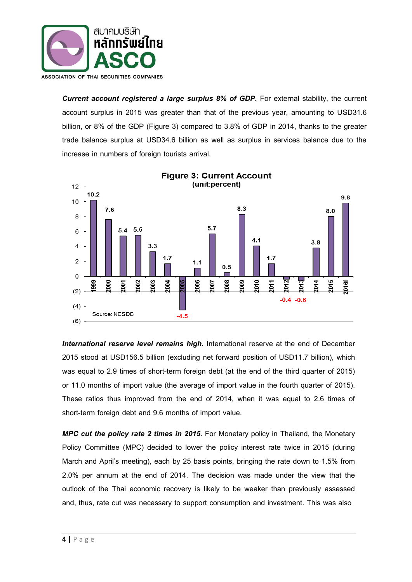

**Current account registered a large surplus 8% of GDP.** For external stability, the current account surplus in 2015 was greater than that of the previous year, amounting to USD31.6 billion, or 8% of the GDP (Figure 3) compared to 3.8% of GDP in 2014, thanks to the greater trade balance surplus at USD34.6 billion as well as surplus in services balance due to the increase in numbers of foreign tourists arrival.



**Figure 3: Current Account** 

*International reserve level remains high.* International reserve at the end of December 2015 stood at USD156.5 billion (excluding net forward position of USD11.7 billion), which was equal to 2.9 times of short-term foreign debt (at the end of the third quarter of 2015) or 11.0 months of import value (the average of import value in the fourth quarter of 2015). These ratios thus improved from the end of 2014, when it was equal to 2.6 times of short-term foreign debt and 9.6 months of import value.

*MPC cut the policy rate 2 times in 2015.* For Monetary policy in Thailand, the Monetary Policy Committee (MPC) decided to lower the policy interest rate twice in 2015 (during March and April's meeting), each by 25 basis points, bringing the rate down to 1.5% from 2.0% per annum at the end of 2014. The decision was made under the view that the outlook of the Thai economic recovery is likely to be weaker than previously assessed and, thus, rate cut was necessary to support consumption and investment. This was also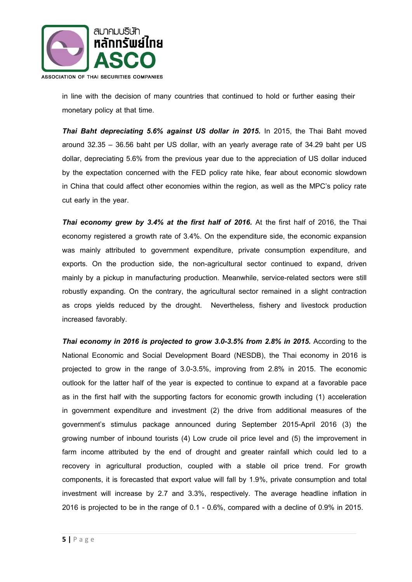

in line with the decision of many countries that continued to hold or further easing their monetary policy at that time.

*Thai Baht depreciating 5.6% against US dollar in 2015.* In 2015, the Thai Baht moved around 32.35 – 36.56 baht per US dollar, with an yearly average rate of 34.29 baht per US dollar, depreciating 5.6% from the previous year due to the appreciation of US dollar induced by the expectation concerned with the FED policy rate hike, fear about economic slowdown in China that could affect other economies within the region, as well as the MPC's policy rate cut early in the year.

*Thai economy grew by 3.4% at the first half of 2016.* At the first half of 2016, the Thai economy registered a growth rate of 3.4%. On the expenditure side, the economic expansion was mainly attributed to government expenditure, private consumption expenditure, and exports. On the production side, the non-agricultural sector continued to expand, driven mainly by a pickup in manufacturing production. Meanwhile, service-related sectors were still robustly expanding. On the contrary, the agricultural sector remained in a slight contraction as crops yields reduced by the drought. Nevertheless, fishery and livestock production increased favorably.

*Thai economy in 2016 is projected to grow 3.0-3.5% from 2.8% in 2015.* According to the National Economic and Social Development Board (NESDB), the Thai economy in 2016 is projected to grow in the range of 3.0-3.5%, improving from 2.8% in 2015. The economic outlook for the latter half of the year is expected to continue to expand at a favorable pace as in the first half with the supporting factors for economic growth including (1) acceleration in government expenditure and investment (2) the drive from additional measures of the government's stimulus package announced during September 2015-April 2016 (3) the growing number of inbound tourists (4) Low crude oil price level and (5) the improvement in farm income attributed by the end of drought and greater rainfall which could led to a recovery in agricultural production, coupled with a stable oil price trend. For growth components, it is forecasted that export value will fall by 1.9%, private consumption and total investment will increase by 2.7 and 3.3%, respectively. The average headline inflation in 2016 is projected to be in the range of 0.1 - 0.6%, compared with a decline of 0.9% in 2015.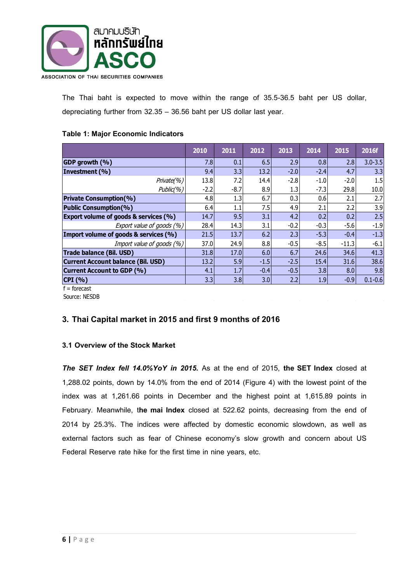

The Thai baht is expected to move within the range of 35.5-36.5 baht per US dollar, depreciating further from 32.35 – 36.56 baht per US dollar last year.

#### **Table 1: Major Economic Indicators**

|                                                  | 2010   | 2011   | 2012   | 2013   | 2014   | 2015    | 2016f       |
|--------------------------------------------------|--------|--------|--------|--------|--------|---------|-------------|
| GDP growth (%)                                   | 7.8    | 0.1    | 6.5    | 2.9    | 0.8    | 2.8     | $3.0 - 3.5$ |
| Investment (%)                                   | 9.4    | 3.3    | 13.2   | $-2.0$ | $-2.4$ | 4.7     | 3.3         |
| Private(%)                                       | 13.8   | 7.2    | 14.4   | $-2.8$ | $-1.0$ | $-2.0$  | 1.5         |
| Public(%)                                        | $-2.2$ | $-8.7$ | 8.9    | 1.3    | $-7.3$ | 29.8    | 10.0        |
| <b>Private Consumption(%)</b>                    | 4.8    | 1.3    | 6.7    | 0.3    | 0.6    | 2.1     | 2.7         |
| <b>Public Consumption(%)</b>                     | 6.4    | 1.1    | 7.5    | 4.9    | 2.1    | 2.2     | 3.9         |
| <b>Export volume of goods &amp; services (%)</b> | 14.7   | 9.5    | 3.1    | 4.2    | 0.2    | 0.2     | 2.5         |
| Export value of goods (%)                        | 28.4   | 14.3   | 3.1    | $-0.2$ | $-0.3$ | $-5.6$  | $-1.9$      |
| Import volume of goods & services (%)            | 21.5   | 13.7   | 6.2    | 2.3    | $-5.3$ | $-0.4$  | $-1.3$      |
| Import value of goods (%)                        | 37.0   | 24.9   | 8.8    | $-0.5$ | $-8.5$ | $-11.3$ | $-6.1$      |
| <b>Trade balance (Bil. USD)</b>                  | 31.8   | 17.0   | 6.0    | 6.7    | 24.6   | 34.6    | 41.3        |
| <b>Current Account balance (Bil. USD)</b>        | 13.2   | 5.9    | $-1.5$ | $-2.5$ | 15.4   | 31.6    | 38.6        |
| Current Account to GDP (%)                       | 4.1    | 1.7    | $-0.4$ | $-0.5$ | 3.8    | 8.0     | 9.8         |
| CPI (%)                                          | 3.3    | 3.8    | 3.0    | 2.2    | 1.9    | $-0.9$  | $0.1 - 0.6$ |
| $=$ forecast                                     |        |        |        |        |        |         |             |

Source: NESDB

## **3. Thai Capital market in 2015 and first 9 monthsof 2016**

#### **3.1 Overview of the Stock Market**

*The SET Index fell 14.0%YoY in 2015.* As at the end of 2015, **the SET Index** closed at 1,288.02 points, down by 14.0% from the end of 2014 (Figure 4) with the lowest point of the index was at 1,261.66 points in December and the highest point at 1,615.89 points in February. Meanwhile, t**he mai Index** closed at 522.62 points, decreasing from the end of 2014 by 25.3%. The indices were affected by domestic economic slowdown, as well as external factors such as fear of Chinese economy's slow growth and concern about US Federal Reserve rate hike for the first time in nine years, etc.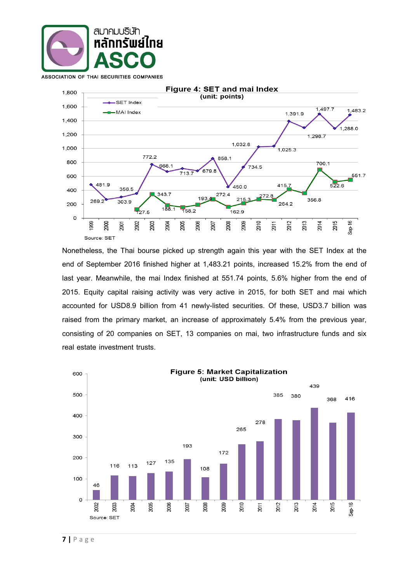

481.9

 $2000$ 

269.2

1999

356.5

303.9

 $2007$ 

 $800$ 

600

400

200

 $\circ$ 



668.1

343.7

 $188.1$ 

**дос** 

713.7

 $1582$ 

2005

772.2

 $T_{27.5}$ 

 $2003$ 

2002

Source: SET Nonetheless, the Thai bourse picked up strength again this year with the SET Index at the end of September 2016 finished higher at 1,483.21 points, increased 15.2% from the end of last year. Meanwhile, the mai Index finished at 551.74 points, 5.6% higher from the end of 2015. Equity capital raising activity was very active in 2015, for both SET and mai which accounted for USD8.9 billion from 41 newly-listed securities. Of these, USD3.7 billion was raised from the primary market, an increase of approximately 5.4% from the previous year, consisting of 20 companies on SET, 13 companies on mai, two infrastructure funds and six real estate investment trusts.

858.1

272.4

2008

679.8

2007

193

2006

734.5

2010

272.8

2011

450.0

 $215$ 

2009

-<br>162.9

4157

264.2

2012

1,497.7

1,298.7

356.8

2014

2013

700.1

 $522.6$ 

2015

1,483.2

551.7

 $Sep 16$ 

,<br>1,288.0

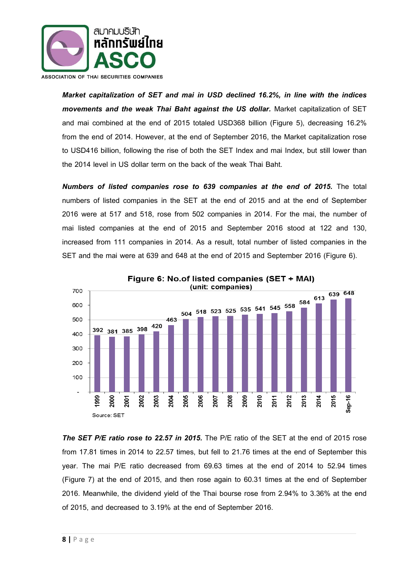

*Market capitalization of SET and mai in USD declined 16.2%, in line with the indices movements and the weak Thai Baht against the US dollar.* Market capitalization of SET and mai combined at the end of 2015 totaled USD368 billion (Figure 5), decreasing 16.2% from the end of 2014. However, at the end of September 2016, the Market capitalization rose to USD416 billion, following the rise of both the SET Index and mai Index, but still lower than the 2014 level in US dollar term on the back of the weak Thai Baht.

*Numbers of listed companies rose to 639 companies at the end of 2015.* The total numbers of listed companies in the SET at the end of 2015 and at the end of September 2016 were at 517 and 518, rose from 502 companies in 2014. For the mai, the number of mai listed companies at the end of 2015 and September 2016 stood at 122 and 130, increased from 111 companies in 2014. As a result, total number of listed companies in the SET and the mai were at 639 and 648 at the end of 2015 and September 2016 (Figure 6).



*The SET P/E ratio rose to 22.57 in 2015.* The P/E ratio of the SET at the end of 2015 rose from 17.81 times in 2014 to 22.57 times, but fell to 21.76 times at the end of September this year. The mai P/E ratio decreased from 69.63 times at the end of 2014 to 52.94 times (Figure 7) at the end of 2015, and then rose again to 60.31 times at the end of September 2016. Meanwhile, the dividend yield of the Thai bourse rose from 2.94% to 3.36% at the end of 2015, and decreased to 3.19% at the end of September 2016.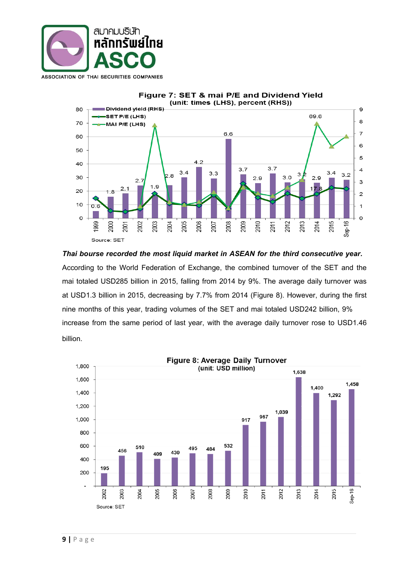



*Thai bourse recorded the most liquid market in ASEAN for the third consecutive year.*  According to the World Federation of Exchange, the combined turnover of the SET and the mai totaled USD285 billion in 2015, falling from 2014 by 9%. The average daily turnover was at USD1.3 billion in 2015, decreasing by 7.7% from 2014 (Figure 8). However, during the first nine months of this year, trading volumes of the SET and mai totaled USD242 billion, 9% increase from the same period of last year, with the average daily turnover rose to USD1.46 billion.

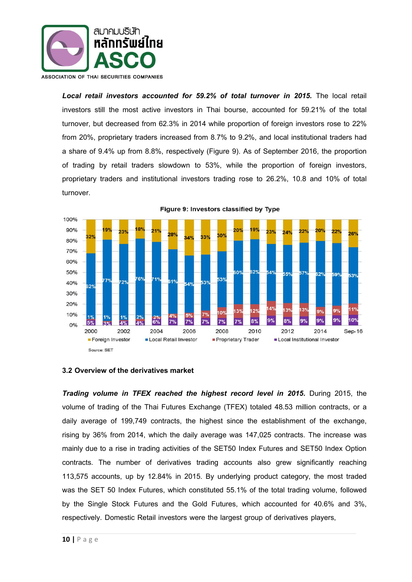

Local retail investors accounted for 59.2% of total turnover in 2015. The local retail investors still the most active investors in Thai bourse, accounted for 59.21% of the total turnover, but decreased from 62.3% in 2014 while proportion of foreign investors rose to 22% from 20%, proprietary traders increased from 8.7% to 9.2%, and local institutional traders had a share of 9.4% up from 8.8%, respectively (Figure 9). As of September 2016, the proportion of trading by retail traders slowdown to 53%, while the proportion of foreign investors, proprietary traders and institutional investors trading rose to 26.2%, 10.8 and 10% of total turnover.



### Figure 9: Investors classified by Type

#### **3.2 Overview of the derivatives market**

**Trading volume in TFEX reached the highest record level in 2015.** During 2015, the volume of trading of the Thai Futures Exchange (TFEX) totaled 48.53 million contracts, or a daily average of 199,749 contracts, the highest since the establishment of the exchange, rising by 36% from 2014, which the daily average was 147,025 contracts. The increase was mainly due to a rise in trading activities of the SET50 Index Futures and SET50 Index Option contracts. The number of derivatives trading accounts also grew significantly reaching 113,575 accounts, up by 12.84% in 2015. By underlying product category, the most traded was the SET 50 Index Futures, which constituted 55.1% of the total trading volume, followed by the Single Stock Futures and the Gold Futures, which accounted for 40.6% and 3%, respectively. Domestic Retail investors were the largest group of derivatives players,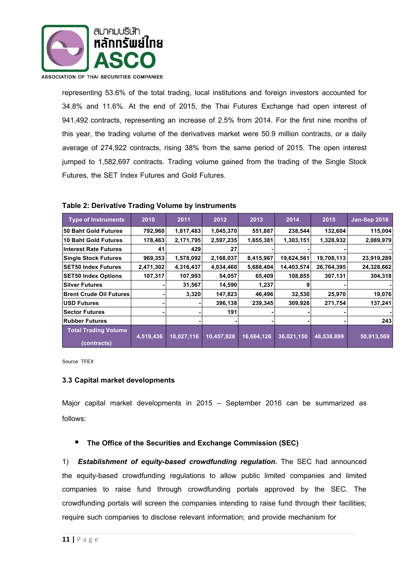

representing 53.6% of the total trading, local institutions and foreign investors accounted for 34.8% and 11.6%. At the end of 2015, the Thai Futures Exchange had open interest of 941,492 contracts, representing an increase of 2.5% from 2014. For the first nine months of this year, the trading volume of the derivatives market were 50.9 million contracts, or a daily average of 274,922 contracts, rising 38% from the same period of 2015. The open interest jumped to 1,582,697 contracts. Trading volume gained from the trading of the Single Stock Futures, the SET Index Futures and Gold Futures.

| <b>Type of Instruments</b>                 | 2010      | 2011       | 2012       | 2013       | 2014       | 2015       | <b>Jan-Sep 2016</b> |
|--------------------------------------------|-----------|------------|------------|------------|------------|------------|---------------------|
| 50 Baht Gold Futures                       | 792,960   | 1,817,483  | 1,045,370  | 551,887    | 238,544    | 132,604    | 115,004             |
| <b>10 Baht Gold Futures</b>                | 178,463   | 2,171,795  | 2,597,235  | 1,655,381  | 1,303,151  | 1,328,932  | 2,089,979           |
| <b>Interest Rate Futures</b>               | 41        | 429        | 27         |            |            |            |                     |
| <b>Single Stock Futures</b>                | 969,353   | 1,578,092  | 2,168,037  | 8,415,967  | 19,624,561 | 19,708,113 | 23,919,289          |
| <b>SET50 Index Futures</b>                 | 2,471,302 | 4,316,437  | 4,034,460  | 5,688,404  | 14,403,574 | 26,764,395 | 24,328,662          |
| <b>SET50 Index Options</b>                 | 107,317   | 107,993    | 54,057     | 65,409     | 108,855    | 307,131    | 304,318             |
| <b>Silver Futures</b>                      |           | 31,567     | 14,590     | 1,237      | 9          |            |                     |
| <b>Brent Crude Oil Futures</b>             |           | 3,320      | 147,823    | 46,496     | 32,530     | 25,970     | 19,076              |
| <b>USD Futures</b>                         |           |            | 396,138    | 239,345    | 309,926    | 271,754    | 137,241             |
| <b>Sector Futures</b>                      |           |            | 191        |            |            |            |                     |
| <b>Rubber Futures</b>                      |           |            |            |            |            |            | 243                 |
| <b>Total Trading Volume</b><br>(contracts) | 4,519,436 | 10,027,116 | 10,457,928 | 16,664,126 | 36,021,150 | 48,538,899 | 50,913,569          |

#### **Table 2: Derivative Trading Volume by instruments**

Source: TFEX

#### **3.3 Capital market developments**

Major capital market developments in 2015 – September 2016 can be summarized as follows:

#### **The Office of the Securities and Exchange Commission (SEC)**

1) *Establishment of equity-based crowdfunding regulation.* The SEC had announced the equity-based crowdfunding regulations to allow public limited companies and limited companies to raise fund through crowdfunding portals approved by the SEC. The crowdfunding portals will screen the companies intending to raise fund through their facilities; require such companies to disclose relevant information; and provide mechanism for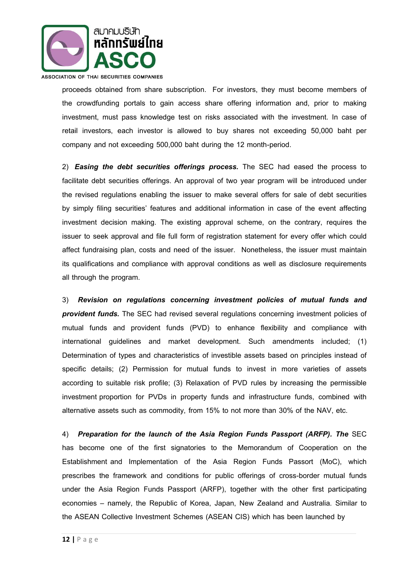

ASSOCIATION OF THAI SECURITIES COMPANIES

proceeds obtained from share subscription. For investors, they must become members of the crowdfunding portals to gain access share offering information and, prior to making investment, must pass knowledge test on risks associated with the investment. In case of retail investors, each investor is allowed to buy shares not exceeding 50,000 baht per company and not exceeding 500,000 baht during the 12 month-period.

2) *Easing the debt securities offerings process.* The SEC had eased the process to facilitate debt securities offerings. An approval of two year program will be introduced under the revised regulations enabling the issuer to make several offers for sale of debt securities by simply filing securities' features and additional information in case of the event affecting investment decision making. The existing approval scheme, on the contrary, requires the issuer to seek approval and file full form of registration statement for every offer which could affect fundraising plan, costs and need of the issuer. Nonetheless, the issuer must maintain its qualifications and compliance with approval conditions as well as disclosure requirements all through the program.

3) *Revision on regulations concerning investment policies of mutual funds and provident funds.* The SEC had revised several regulations concerning investment policies of mutual funds and provident funds (PVD) to enhance flexibility and compliance with international guidelines and market development. Such amendments included; (1) Determination of types and characteristics of investible assets based on principles instead of specific details; (2) Permission for mutual funds to invest in more varieties of assets according to suitable risk profile; (3) Relaxation of PVD rules by increasing the permissible investment proportion for PVDs in property funds and infrastructure funds, combined with alternative assets such as commodity, from 15% to not more than 30% of the NAV, etc.

4) *Preparation for the launch of the Asia Region Funds Passport (ARFP). The* SEC has become one of the first signatories to the Memorandum of Cooperation on the Establishment and Implementation of the Asia Region Funds Passort (MoC), which prescribes the framework and conditions for public offerings of cross-border mutual funds under the Asia Region Funds Passport (ARFP), together with the other first participating economies – namely, the Republic of Korea, Japan, New Zealand and Australia. Similar to the ASEAN Collective Investment Schemes (ASEAN CIS) which has been launched by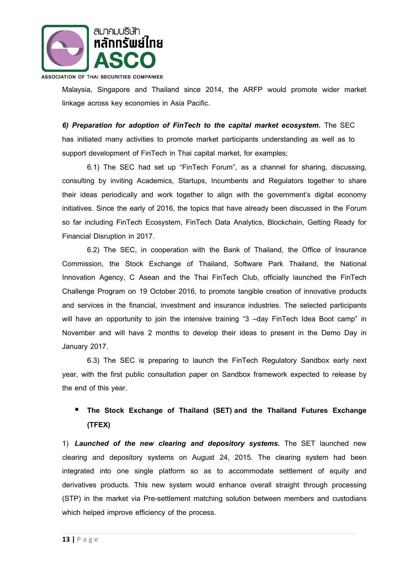

ASSOCIATION OF THAI SECURITIES COMPANIES

Malaysia, Singapore and Thailand since 2014, the ARFP would promote wider market linkage across key economies in Asia Pacific.

*6) Preparation for adoption of FinTech to the capital market ecosystem.* The SEC has initiated many activities to promote market participants understanding as well as to support development of FinTech in Thai capital market, for examples;

6.1) The SEC had set up "FinTech Forum", as a channel for sharing, discussing, consulting by inviting Academics, Startups, Incumbents and Regulators together to share their ideas periodically and work together to align with the government's digital economy initiatives. Since the early of 2016, the topics that have already been discussed in the Forum so far including FinTech Ecosystem, FinTech Data Analytics, Blockchain, Getting Ready for Financial Disruption in 2017.

6.2) The SEC, in cooperation with the Bank of Thailand, the Office of Insurance Commission, the Stock Exchange of Thailand, Software Park Thailand, the National Innovation Agency, C Asean and the Thai FinTech Club, officially launched the FinTech Challenge Program on 19 October 2016, to promote tangible creation of innovative products and services in the financial, investment and insurance industries. The selected participants will have an opportunity to join the intensive training "3 -day FinTech Idea Boot camp" in November and will have 2 months to develop their ideas to present in the Demo Day in January 2017.

6.3) The SEC is preparing to launch the FinTech Regulatory Sandbox early next year, with the first public consultation paper on Sandbox framework expected to release by the end of this year.

## **The Stock Exchange of Thailand (SET) and the Thailand Futures Exchange (TFEX)**

1) *Launched of the new clearing and depository systems.* The SET launched new clearing and depository systems on August 24, 2015. The clearing system had been integrated into one single platform so as to accommodate settlement of equity and derivatives products. This new system would enhance overall straight through processing (STP) in the market via Pre-settlement matching solution between members and custodians which helped improve efficiency of the process.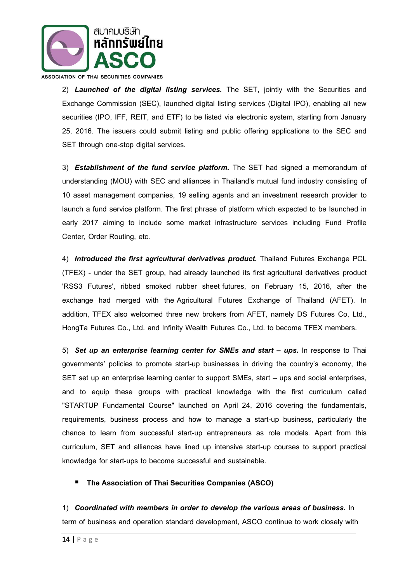

2) *Launched of the digital listing services.* The SET, jointly with the Securities and Exchange Commission (SEC), launched digital listing services (Digital IPO), enabling all new securities (IPO, IFF, REIT, and ETF) to be listed via electronic system, starting from January 25, 2016. The issuers could submit listing and public offering applications to the SEC and SET through one-stop digital services.

3) *Establishment of the fund service platform.* The SET had signed a memorandum of understanding (MOU) with SEC and alliances in Thailand's mutual fund industry consisting of 10 asset management companies, 19 selling agents and an investment research provider to launch a fund service platform. The first phrase of platform which expected to be launched in early 2017 aiming to include some market infrastructure services including Fund Profile Center, Order Routing, etc.

4) *Introduced the first agricultural derivatives product.* Thailand Futures Exchange PCL (TFEX) - under the SET group, had already launched its first agricultural derivatives product 'RSS3 Futures', ribbed smoked rubber sheet futures, on February 15, 2016, after the exchange had merged with the Agricultural Futures Exchange of Thailand (AFET). In addition, TFEX also welcomed three new brokers from AFET, namely DS Futures Co, Ltd., HongTa Futures Co., Ltd. and Infinity Wealth Futures Co., Ltd. to become TFEX members.

5) Set up an enterprise learning center for SMEs and start – ups. In response to Thai governments' policies to promote start-up businesses in driving the country's economy, the SET set up an enterprise learning center to support SMEs, start – ups and social enterprises, and to equip these groups with practical knowledge with the first curriculum called "STARTUP Fundamental Course" launched on April 24, 2016 covering the fundamentals, requirements, business process and how to manage a start-up business, particularly the chance to learn from successful start-up entrepreneurs as role models. Apart from this curriculum, SET and alliances have lined up intensive start-up courses to support practical knowledge for start-ups to become successful and sustainable.

#### **The Association of Thai Securities Companies (ASCO)**

1) *Coordinated with members in order to develop the various areas of business.* In term of business and operation standard development, ASCO continue to work closely with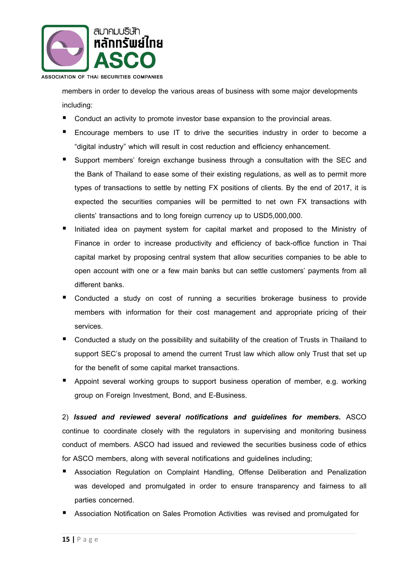

members in order to develop the various areas of business with some major developments including:

- Conduct an activity to promote investor base expansion to the provincial areas.
- Encourage members to use IT to drive the securities industry in order to become a "digital industry" which will result in cost reduction and efficiency enhancement.
- Support members' foreign exchange business through a consultation with the SEC and the Bank of Thailand to ease some of their existing regulations, as well as to permit more types of transactions to settle by netting FX positions of clients. By the end of 2017, it is expected the securities companies will be permitted to net own FX transactions with clients' transactions and to long foreign currency up to USD5,000,000.
- Initiated idea on payment system for capital market and proposed to the Ministry of Finance in order to increase productivity and efficiency of back-office function in Thai capital market by proposing central system that allow securities companies to be able to open account with one or a few main banks but can settle customers' payments from all different banks.
- Conducted a study on cost of running a securities brokerage business to provide members with information for their cost management and appropriate pricing of their services.
- Conducted a study on the possibility and suitability of the creation of Trusts in Thailand to support SEC's proposal to amend the current Trust law which allow only Trust that set up for the benefit of some capital market transactions.
- **Appoint several working groups to support business operation of member, e.g. working** group on Foreign Investment, Bond, and E-Business.

2) *Issued and reviewed several notifications and guidelines for members.* ASCO continue to coordinate closely with the regulators in supervising and monitoring business conduct of members. ASCO had issued and reviewed the securities business code of ethics for ASCO members, along with several notifications and guidelines including;

- **Association Regulation on Complaint Handling, Offense Deliberation and Penalization** was developed and promulgated in order to ensure transparency and fairness to all parties concerned.
- Association Notification on Sales Promotion Activities was revised and promulgated for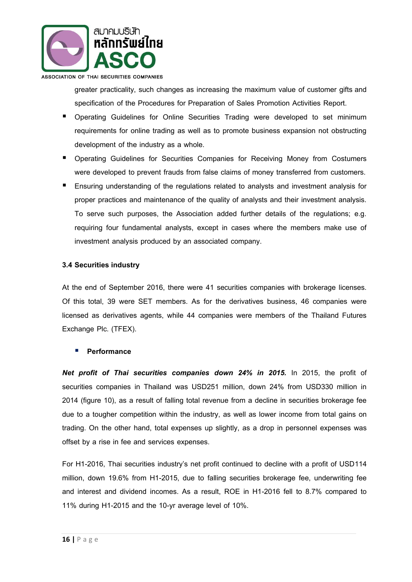

ASSOCIATION OF THAI SECURITIES COMPANIES

greater practicality, such changes as increasing the maximum value of customer gifts and specification of the Procedures for Preparation of Sales Promotion Activities Report.

- **•** Operating Guidelines for Online Securities Trading were developed to set minimum requirements for online trading as well as to promote business expansion not obstructing development of the industry as a whole.
- **Operating Guidelines for Securities Companies for Receiving Money from Costumers** were developed to prevent frauds from false claims of money transferred from customers.
- Ensuring understanding of the regulations related to analysts and investment analysis for proper practices and maintenance of the quality of analysts and their investment analysis. To serve such purposes, the Association added further details of the regulations; e.g. requiring four fundamental analysts, except in cases where the members make use of investment analysis produced by an associated company.

#### **3.4 Securities industry**

At the end of September 2016, there were 41 securities companies with brokerage licenses. Of this total, 39 were SET members. As for the derivatives business, 46 companies were licensed as derivatives agents, while 44 companies were members of the Thailand Futures Exchange Plc. (TFEX).

#### **Performance**

*Net profit of Thai securities companies down 24% in 2015.* In 2015, the profit of securities companies in Thailand was USD251 million, down 24% from USD330 million in 2014 (figure 10), as a result of falling total revenue from a decline in securities brokerage fee due to a tougher competition within the industry, as well as lower income from total gains on trading. On the other hand, total expenses up slightly, as a drop in personnel expenses was offset by a rise in fee and services expenses.

For H1-2016, Thai securities industry's net profit continued to decline with a profit of USD114 million, down 19.6% from H1-2015, due to falling securities brokerage fee, underwriting fee and interest and dividend incomes. As a result, ROE in H1-2016 fell to 8.7% compared to 11% during H1-2015 and the 10-yr average level of 10%.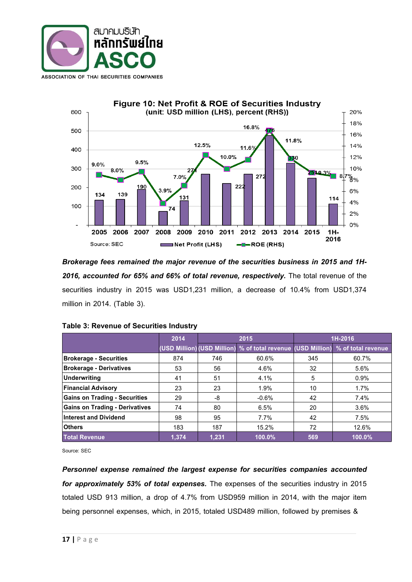



*Brokerage fees remained the major revenue of the securities business in 2015 and 1H-2016, accounted for 65% and 66% of total revenue, respectively.* The total revenue of the securities industry in 2015 was USD1,231 million, a decrease of 10.4% from USD1,374 million in 2014. (Table 3).

|                                       | 2014  | 2015  |         | 1H-2016 |                                                                                 |
|---------------------------------------|-------|-------|---------|---------|---------------------------------------------------------------------------------|
|                                       |       |       |         |         | (USD Million) (USD Million) % of total revenue (USD Million) % of total revenue |
| <b>Brokerage - Securities</b>         | 874   | 746   | 60.6%   | 345     | 60.7%                                                                           |
| <b>Brokerage - Derivatives</b>        | 53    | 56    | 4.6%    | 32      | 5.6%                                                                            |
| Underwriting                          | 41    | 51    | 4.1%    | 5       | 0.9%                                                                            |
| <b>Financial Advisory</b>             | 23    | 23    | 1.9%    | 10      | 1.7%                                                                            |
| <b>Gains on Trading - Securities</b>  | 29    | -8    | $-0.6%$ | 42      | 7.4%                                                                            |
| <b>Gains on Trading - Derivatives</b> | 74    | 80    | 6.5%    | 20      | 3.6%                                                                            |
| <b>Interest and Dividend</b>          | 98    | 95    | 7.7%    | 42      | 7.5%                                                                            |
| <b>Others</b>                         | 183   | 187   | 15.2%   | 72      | 12.6%                                                                           |
| <b>Total Revenue</b>                  | 1.374 | 1.231 | 100.0%  | 569     | 100.0%                                                                          |

Source: SEC

*Personnel expense remained the largest expense for securities companies accounted for approximately 53% of total expenses.* The expenses of the securities industry in 2015 totaled USD 913 million, a drop of 4.7% from USD959 million in 2014, with the major item being personnel expenses, which, in 2015, totaled USD489 million, followed by premises &